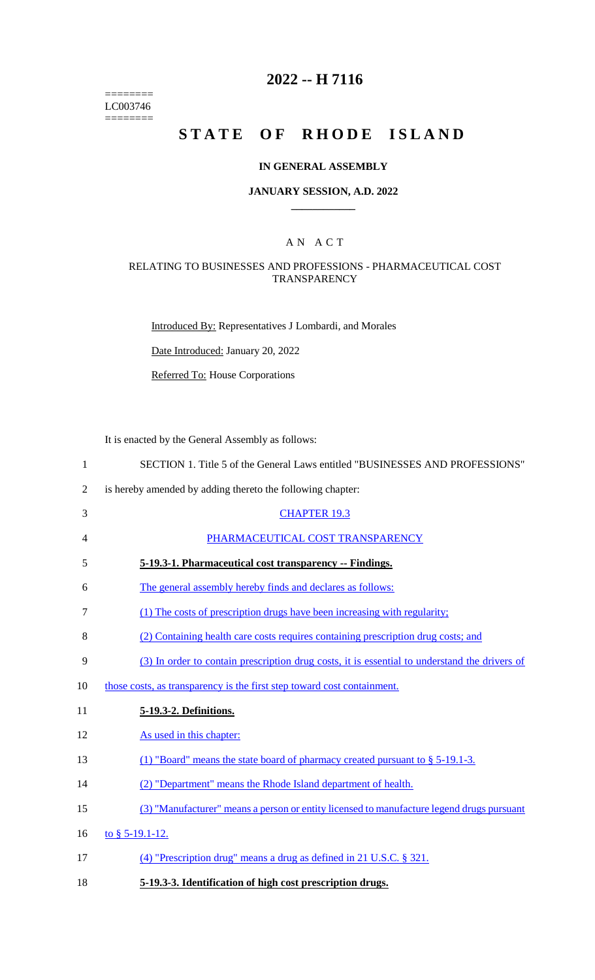======== LC003746 ========

## **2022 -- H 7116**

# STATE OF RHODE ISLAND

## **IN GENERAL ASSEMBLY**

#### **JANUARY SESSION, A.D. 2022 \_\_\_\_\_\_\_\_\_\_\_\_**

## A N A C T

## RELATING TO BUSINESSES AND PROFESSIONS - PHARMACEUTICAL COST **TRANSPARENCY**

Introduced By: Representatives J Lombardi, and Morales

Date Introduced: January 20, 2022

Referred To: House Corporations

It is enacted by the General Assembly as follows:

| $\mathbf{1}$   | SECTION 1. Title 5 of the General Laws entitled "BUSINESSES AND PROFESSIONS"                  |
|----------------|-----------------------------------------------------------------------------------------------|
| $\overline{2}$ | is hereby amended by adding thereto the following chapter:                                    |
| 3              | <b>CHAPTER 19.3</b>                                                                           |
| 4              | PHARMACEUTICAL COST TRANSPARENCY                                                              |
| 5              | 5-19.3-1. Pharmaceutical cost transparency -- Findings.                                       |
| 6              | The general assembly hereby finds and declares as follows:                                    |
| 7              | (1) The costs of prescription drugs have been increasing with regularity;                     |
| 8              | (2) Containing health care costs requires containing prescription drug costs; and             |
| 9              | (3) In order to contain prescription drug costs, it is essential to understand the drivers of |
| 10             | those costs, as transparency is the first step toward cost containment.                       |
| 11             | 5-19.3-2. Definitions.                                                                        |
| 12             | As used in this chapter:                                                                      |
| 13             | (1) "Board" means the state board of pharmacy created pursuant to § 5-19.1-3.                 |
| 14             | (2) "Department" means the Rhode Island department of health.                                 |
| 15             | (3) "Manufacturer" means a person or entity licensed to manufacture legend drugs pursuant     |
| 16             | to § 5-19.1-12.                                                                               |
| 17             | (4) "Prescription drug" means a drug as defined in 21 U.S.C. § 321.                           |
| 18             | 5-19.3-3. Identification of high cost prescription drugs.                                     |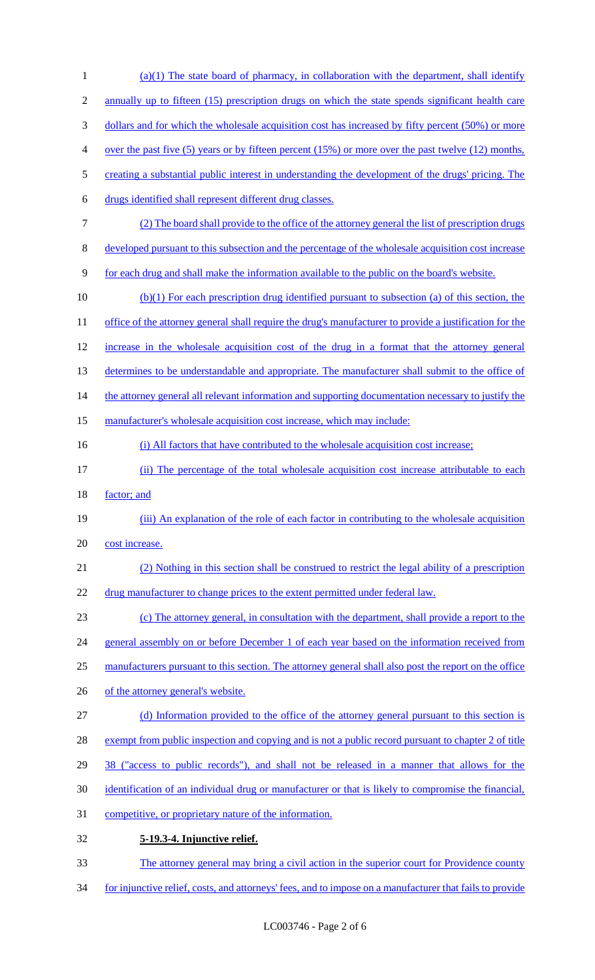1 (a)(1) The state board of pharmacy, in collaboration with the department, shall identify 2 annually up to fifteen (15) prescription drugs on which the state spends significant health care 3 dollars and for which the wholesale acquisition cost has increased by fifty percent (50%) or more 4 over the past five (5) years or by fifteen percent (15%) or more over the past twelve (12) months, 5 creating a substantial public interest in understanding the development of the drugs' pricing. The 6 drugs identified shall represent different drug classes. 7 (2) The board shall provide to the office of the attorney general the list of prescription drugs 8 developed pursuant to this subsection and the percentage of the wholesale acquisition cost increase 9 for each drug and shall make the information available to the public on the board's website. 10 (b)(1) For each prescription drug identified pursuant to subsection (a) of this section, the 11 office of the attorney general shall require the drug's manufacturer to provide a justification for the 12 increase in the wholesale acquisition cost of the drug in a format that the attorney general 13 determines to be understandable and appropriate. The manufacturer shall submit to the office of 14 the attorney general all relevant information and supporting documentation necessary to justify the 15 manufacturer's wholesale acquisition cost increase, which may include: 16 (i) All factors that have contributed to the wholesale acquisition cost increase; 17 (ii) The percentage of the total wholesale acquisition cost increase attributable to each 18 <u>factor</u>; and 19 (iii) An explanation of the role of each factor in contributing to the wholesale acquisition 20 cost increase. 21 (2) Nothing in this section shall be construed to restrict the legal ability of a prescription 22 drug manufacturer to change prices to the extent permitted under federal law. 23 (c) The attorney general, in consultation with the department, shall provide a report to the 24 general assembly on or before December 1 of each year based on the information received from 25 manufacturers pursuant to this section. The attorney general shall also post the report on the office 26 of the attorney general's website. 27 (d) Information provided to the office of the attorney general pursuant to this section is 28 exempt from public inspection and copying and is not a public record pursuant to chapter 2 of title 29 38 ("access to public records"), and shall not be released in a manner that allows for the 30 identification of an individual drug or manufacturer or that is likely to compromise the financial, 31 competitive, or proprietary nature of the information. 32 **5-19.3-4. Injunctive relief.**  33 The attorney general may bring a civil action in the superior court for Providence county 34 for injunctive relief, costs, and attorneys' fees, and to impose on a manufacturer that fails to provide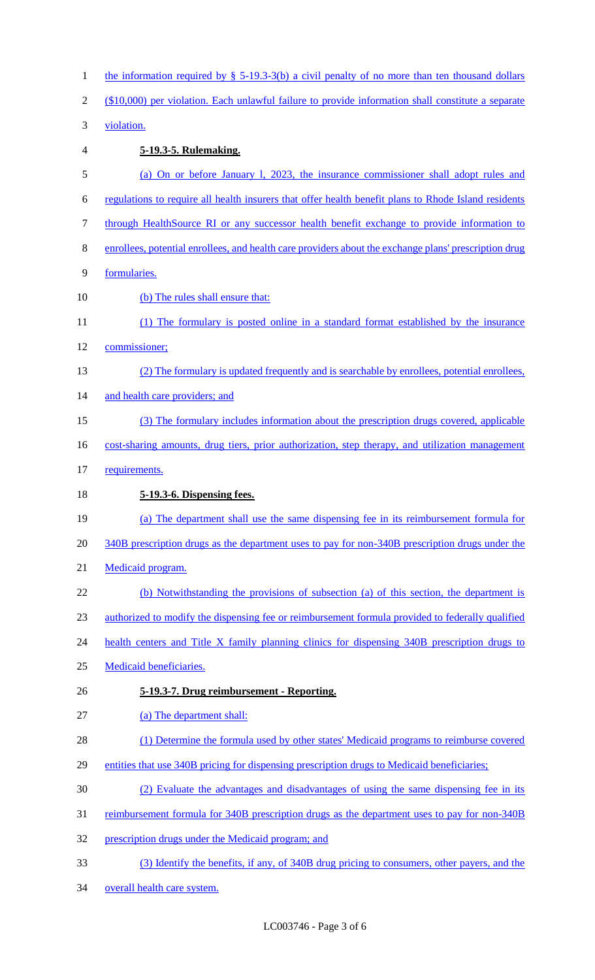| $\mathbf{1}$   | the information required by $\S$ 5-19.3-3(b) a civil penalty of no more than ten thousand dollars     |
|----------------|-------------------------------------------------------------------------------------------------------|
| $\overline{2}$ | (\$10,000) per violation. Each unlawful failure to provide information shall constitute a separate    |
| 3              | violation.                                                                                            |
| 4              | 5-19.3-5. Rulemaking.                                                                                 |
| 5              | (a) On or before January 1, 2023, the insurance commissioner shall adopt rules and                    |
| 6              | regulations to require all health insurers that offer health benefit plans to Rhode Island residents  |
| 7              | through HealthSource RI or any successor health benefit exchange to provide information to            |
| 8              | enrollees, potential enrollees, and health care providers about the exchange plans' prescription drug |
| 9              | formularies.                                                                                          |
| 10             | (b) The rules shall ensure that:                                                                      |
| 11             | (1) The formulary is posted online in a standard format established by the insurance                  |
| 12             | commissioner;                                                                                         |
| 13             | (2) The formulary is updated frequently and is searchable by enrollees, potential enrollees,          |
| 14             | and health care providers; and                                                                        |
| 15             | (3) The formulary includes information about the prescription drugs covered, applicable               |
| 16             | cost-sharing amounts, drug tiers, prior authorization, step therapy, and utilization management       |
| 17             | requirements.                                                                                         |
|                |                                                                                                       |
| 18             | 5-19.3-6. Dispensing fees.                                                                            |
| 19             | (a) The department shall use the same dispensing fee in its reimbursement formula for                 |
| 20             | 340B prescription drugs as the department uses to pay for non-340B prescription drugs under the       |
| 21             | Medicaid program.                                                                                     |
| 22             | (b) Notwithstanding the provisions of subsection (a) of this section, the department is               |
| 23             | authorized to modify the dispensing fee or reimbursement formula provided to federally qualified      |
| 24             | health centers and Title X family planning clinics for dispensing 340B prescription drugs to          |
| 25             | Medicaid beneficiaries.                                                                               |
| 26             | 5-19.3-7. Drug reimbursement - Reporting.                                                             |
| 27             | (a) The department shall:                                                                             |
| 28             | (1) Determine the formula used by other states' Medicaid programs to reimburse covered                |
| 29             | entities that use 340B pricing for dispensing prescription drugs to Medicaid beneficiaries;           |
| 30             | (2) Evaluate the advantages and disadvantages of using the same dispensing fee in its                 |
| 31             | <u>reimbursement formula for 340B prescription drugs as the department uses to pay for non-340B</u>   |
| 32             | prescription drugs under the Medicaid program; and                                                    |
| 33             | (3) Identify the benefits, if any, of 340B drug pricing to consumers, other payers, and the           |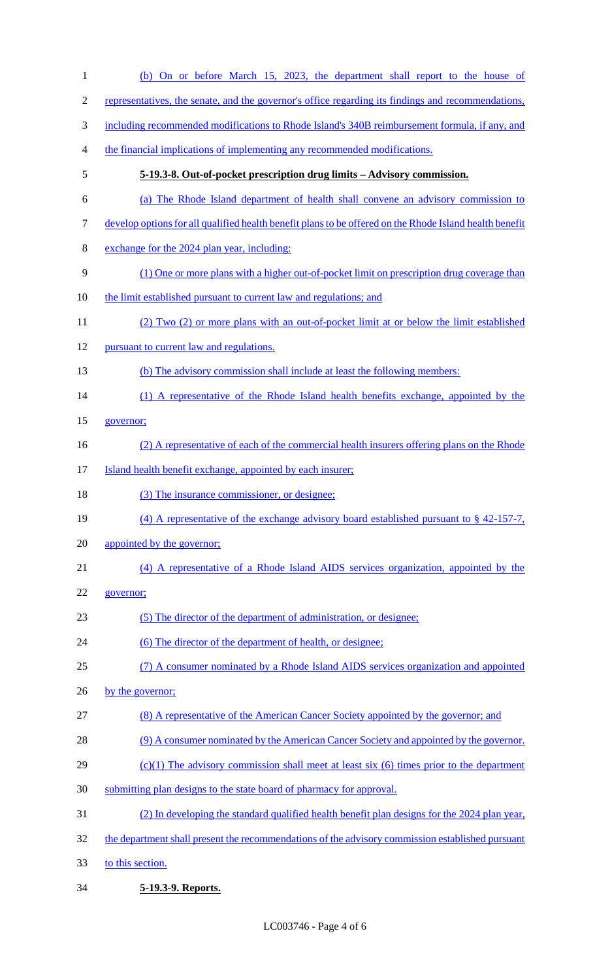| $\mathbf{1}$   | (b) On or before March 15, 2023, the department shall report to the house of                            |
|----------------|---------------------------------------------------------------------------------------------------------|
| $\overline{c}$ | representatives, the senate, and the governor's office regarding its findings and recommendations,      |
| 3              | including recommended modifications to Rhode Island's 340B reimbursement formula, if any, and           |
| 4              | the financial implications of implementing any recommended modifications.                               |
| 5              | 5-19.3-8. Out-of-pocket prescription drug limits – Advisory commission.                                 |
| 6              | (a) The Rhode Island department of health shall convene an advisory commission to                       |
| 7              | develop options for all qualified health benefit plans to be offered on the Rhode Island health benefit |
| 8              | exchange for the 2024 plan year, including:                                                             |
| 9              | (1) One or more plans with a higher out-of-pocket limit on prescription drug coverage than              |
| 10             | the limit established pursuant to current law and regulations; and                                      |
| 11             | (2) Two (2) or more plans with an out-of-pocket limit at or below the limit established                 |
| 12             | pursuant to current law and regulations.                                                                |
| 13             | (b) The advisory commission shall include at least the following members:                               |
| 14             | (1) A representative of the Rhode Island health benefits exchange, appointed by the                     |
| 15             | governor;                                                                                               |
| 16             | (2) A representative of each of the commercial health insurers offering plans on the Rhode              |
| 17             | Island health benefit exchange, appointed by each insurer;                                              |
| 18             | (3) The insurance commissioner, or designee;                                                            |
| 19             | (4) A representative of the exchange advisory board established pursuant to $\S$ 42-157-7,              |
| 20             | appointed by the governor;                                                                              |
| 21             | (4) A representative of a Rhode Island AIDS services organization, appointed by the                     |
| 22             | governor;                                                                                               |
| 23             | (5) The director of the department of administration, or designee;                                      |
| 24             | (6) The director of the department of health, or designee;                                              |
| 25             | (7) A consumer nominated by a Rhode Island AIDS services organization and appointed                     |
| 26             | by the governor;                                                                                        |
| 27             | (8) A representative of the American Cancer Society appointed by the governor; and                      |
| 28             | (9) A consumer nominated by the American Cancer Society and appointed by the governor.                  |
| 29             | $(c)(1)$ The advisory commission shall meet at least six (6) times prior to the department              |
| 30             | submitting plan designs to the state board of pharmacy for approval.                                    |
| 31             | (2) In developing the standard qualified health benefit plan designs for the 2024 plan year,            |
| 32             | the department shall present the recommendations of the advisory commission established pursuant        |
| 33             | to this section.                                                                                        |
|                |                                                                                                         |

**5-19.3-9. Reports.**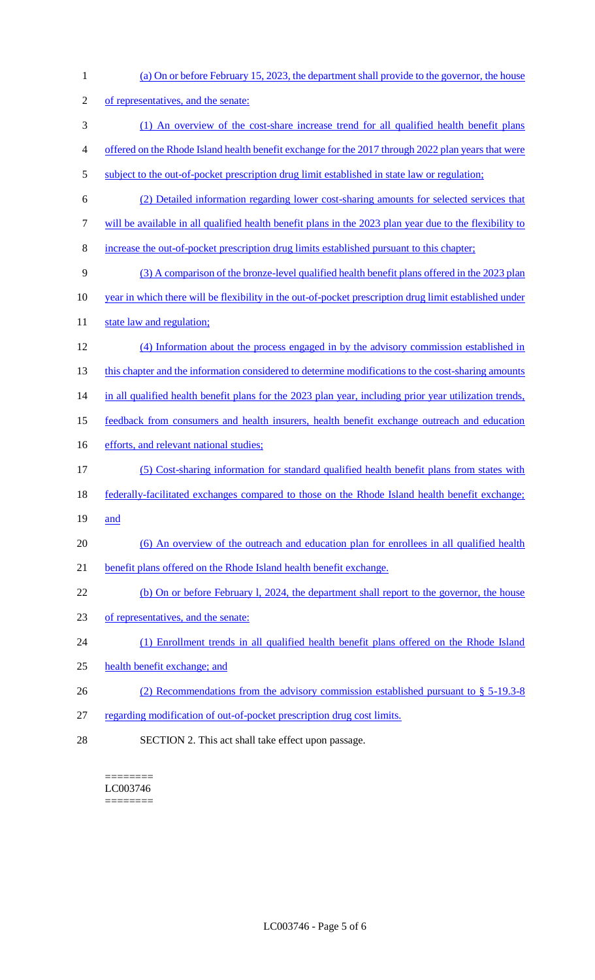(a) On or before February 15, 2023, the department shall provide to the governor, the house of representatives, and the senate: (1) An overview of the cost-share increase trend for all qualified health benefit plans offered on the Rhode Island health benefit exchange for the 2017 through 2022 plan years that were 5 subject to the out-of-pocket prescription drug limit established in state law or regulation; (2) Detailed information regarding lower cost-sharing amounts for selected services that will be available in all qualified health benefit plans in the 2023 plan year due to the flexibility to increase the out-of-pocket prescription drug limits established pursuant to this chapter; (3) A comparison of the bronze-level qualified health benefit plans offered in the 2023 plan year in which there will be flexibility in the out-of-pocket prescription drug limit established under 11 state law and regulation; (4) Information about the process engaged in by the advisory commission established in 13 this chapter and the information considered to determine modifications to the cost-sharing amounts 14 in all qualified health benefit plans for the 2023 plan year, including prior year utilization trends, feedback from consumers and health insurers, health benefit exchange outreach and education 16 efforts, and relevant national studies; (5) Cost-sharing information for standard qualified health benefit plans from states with federally-facilitated exchanges compared to those on the Rhode Island health benefit exchange; 19 and (6) An overview of the outreach and education plan for enrollees in all qualified health benefit plans offered on the Rhode Island health benefit exchange. (b) On or before February l, 2024, the department shall report to the governor, the house of representatives, and the senate: (1) Enrollment trends in all qualified health benefit plans offered on the Rhode Island health benefit exchange; and 26 (2) Recommendations from the advisory commission established pursuant to § 5-19.3-8 regarding modification of out-of-pocket prescription drug cost limits. SECTION 2. This act shall take effect upon passage.

======== LC003746 ========